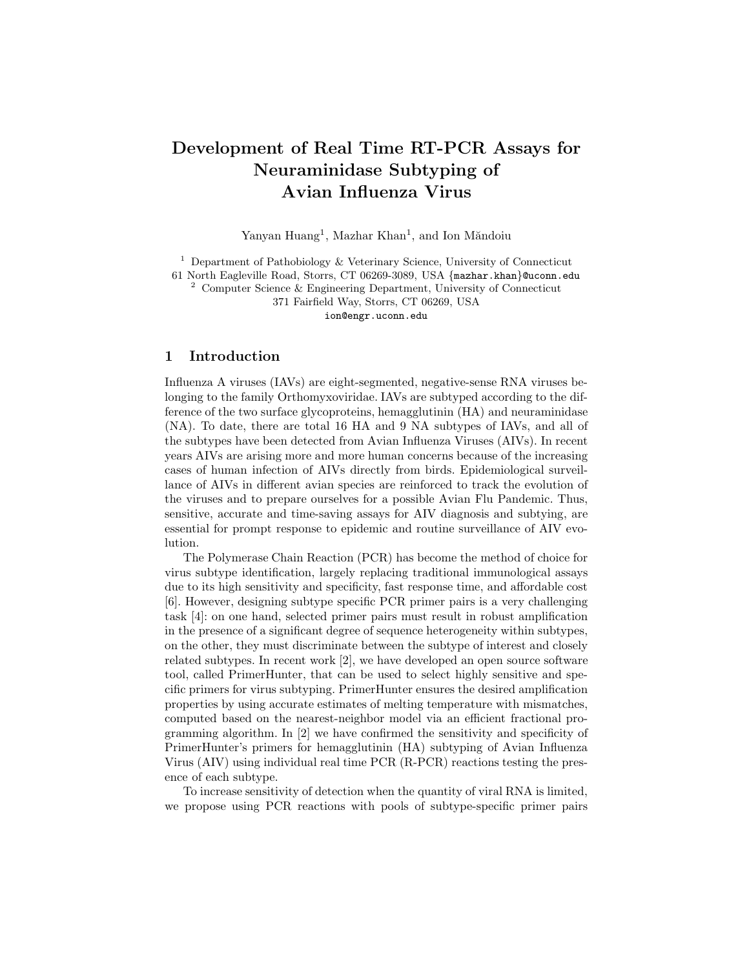# Development of Real Time RT-PCR Assays for Neuraminidase Subtyping of Avian Influenza Virus

Yanyan Huang<sup>1</sup>, Mazhar Khan<sup>1</sup>, and Ion Măndoiu

<sup>1</sup> Department of Pathobiology  $\&$  Veterinary Science, University of Connecticut 61 North Eagleville Road, Storrs, CT 06269-3089, USA {mazhar.khan}@uconn.edu

<sup>2</sup> Computer Science & Engineering Department, University of Connecticut

371 Fairfield Way, Storrs, CT 06269, USA

ion@engr.uconn.edu

## 1 Introduction

Influenza A viruses (IAVs) are eight-segmented, negative-sense RNA viruses belonging to the family Orthomyxoviridae. IAVs are subtyped according to the difference of the two surface glycoproteins, hemagglutinin (HA) and neuraminidase (NA). To date, there are total 16 HA and 9 NA subtypes of IAVs, and all of the subtypes have been detected from Avian Influenza Viruses (AIVs). In recent years AIVs are arising more and more human concerns because of the increasing cases of human infection of AIVs directly from birds. Epidemiological surveillance of AIVs in different avian species are reinforced to track the evolution of the viruses and to prepare ourselves for a possible Avian Flu Pandemic. Thus, sensitive, accurate and time-saving assays for AIV diagnosis and subtying, are essential for prompt response to epidemic and routine surveillance of AIV evolution.

The Polymerase Chain Reaction (PCR) has become the method of choice for virus subtype identification, largely replacing traditional immunological assays due to its high sensitivity and specificity, fast response time, and affordable cost [6]. However, designing subtype specific PCR primer pairs is a very challenging task [4]: on one hand, selected primer pairs must result in robust amplification in the presence of a significant degree of sequence heterogeneity within subtypes, on the other, they must discriminate between the subtype of interest and closely related subtypes. In recent work [2], we have developed an open source software tool, called PrimerHunter, that can be used to select highly sensitive and specific primers for virus subtyping. PrimerHunter ensures the desired amplification properties by using accurate estimates of melting temperature with mismatches, computed based on the nearest-neighbor model via an efficient fractional programming algorithm. In [2] we have confirmed the sensitivity and specificity of PrimerHunter's primers for hemagglutinin (HA) subtyping of Avian Influenza Virus (AIV) using individual real time PCR (R-PCR) reactions testing the presence of each subtype.

To increase sensitivity of detection when the quantity of viral RNA is limited, we propose using PCR reactions with pools of subtype-specific primer pairs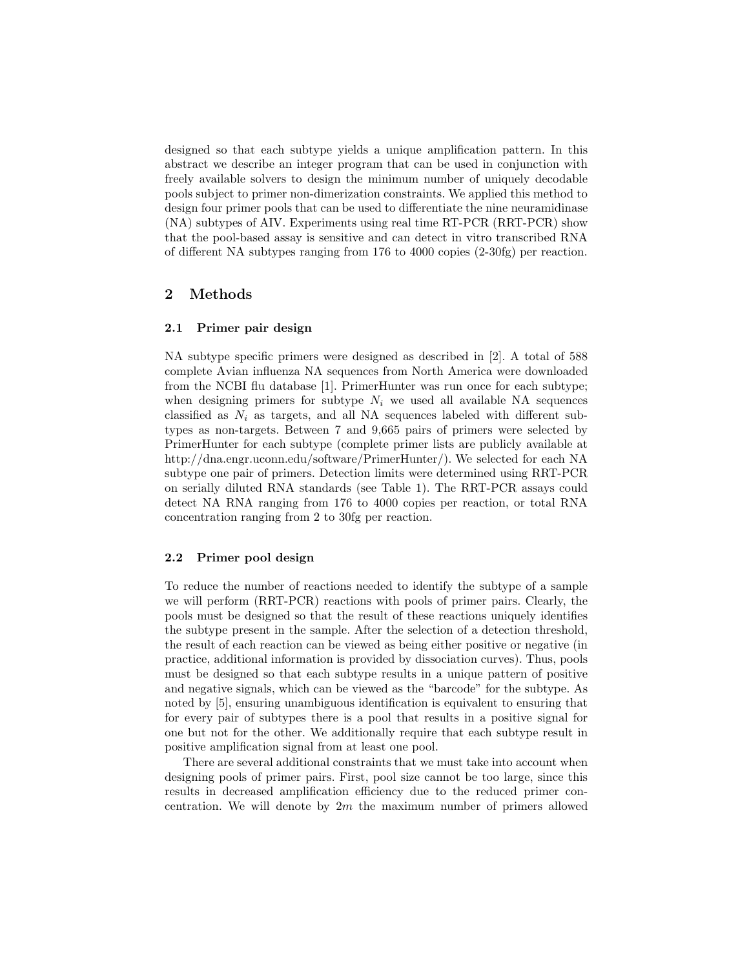designed so that each subtype yields a unique amplification pattern. In this abstract we describe an integer program that can be used in conjunction with freely available solvers to design the minimum number of uniquely decodable pools subject to primer non-dimerization constraints. We applied this method to design four primer pools that can be used to differentiate the nine neuramidinase (NA) subtypes of AIV. Experiments using real time RT-PCR (RRT-PCR) show that the pool-based assay is sensitive and can detect in vitro transcribed RNA of different NA subtypes ranging from 176 to 4000 copies (2-30fg) per reaction.

#### 2 Methods

#### 2.1 Primer pair design

NA subtype specific primers were designed as described in [2]. A total of 588 complete Avian influenza NA sequences from North America were downloaded from the NCBI flu database [1]. PrimerHunter was run once for each subtype; when designing primers for subtype  $N_i$  we used all available NA sequences classified as  $N_i$  as targets, and all NA sequences labeled with different subtypes as non-targets. Between 7 and 9,665 pairs of primers were selected by PrimerHunter for each subtype (complete primer lists are publicly available at http://dna.engr.uconn.edu/software/PrimerHunter/). We selected for each NA subtype one pair of primers. Detection limits were determined using RRT-PCR on serially diluted RNA standards (see Table 1). The RRT-PCR assays could detect NA RNA ranging from 176 to 4000 copies per reaction, or total RNA concentration ranging from 2 to 30fg per reaction.

#### 2.2 Primer pool design

To reduce the number of reactions needed to identify the subtype of a sample we will perform (RRT-PCR) reactions with pools of primer pairs. Clearly, the pools must be designed so that the result of these reactions uniquely identifies the subtype present in the sample. After the selection of a detection threshold, the result of each reaction can be viewed as being either positive or negative (in practice, additional information is provided by dissociation curves). Thus, pools must be designed so that each subtype results in a unique pattern of positive and negative signals, which can be viewed as the "barcode" for the subtype. As noted by [5], ensuring unambiguous identification is equivalent to ensuring that for every pair of subtypes there is a pool that results in a positive signal for one but not for the other. We additionally require that each subtype result in positive amplification signal from at least one pool.

There are several additional constraints that we must take into account when designing pools of primer pairs. First, pool size cannot be too large, since this results in decreased amplification efficiency due to the reduced primer concentration. We will denote by  $2m$  the maximum number of primers allowed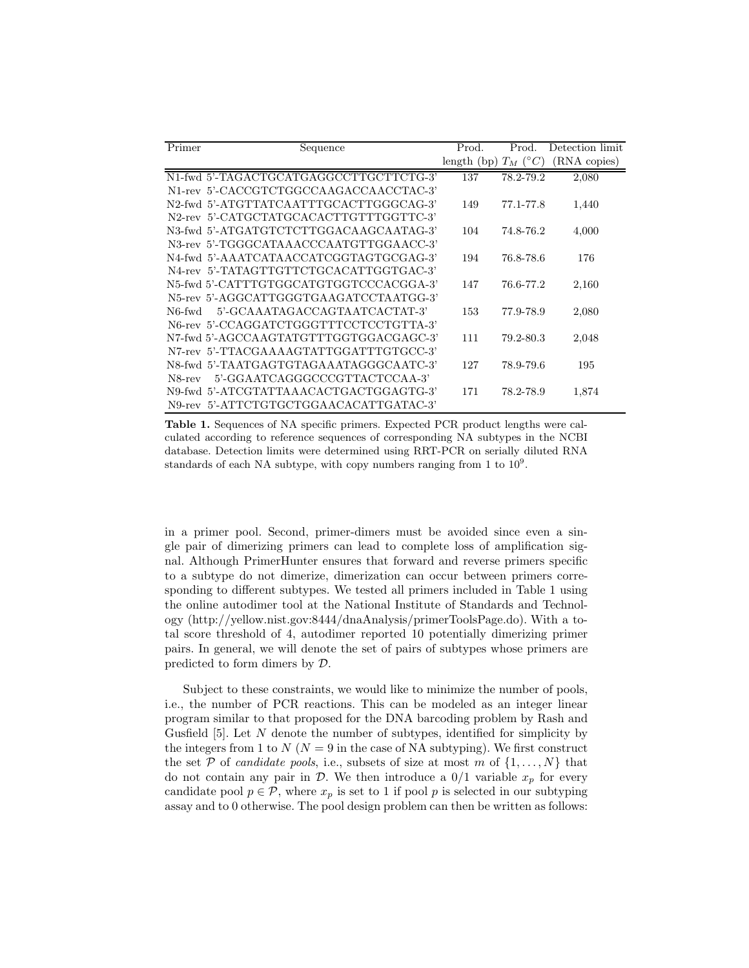| Primer | Sequence                               | Prod.       | Prod.      | Detection limit |
|--------|----------------------------------------|-------------|------------|-----------------|
|        |                                        | length (bp) | $T_M$<br>C | (RNA copies)    |
|        | N1-fwd 5'-TAGACTGCATGAGGCCTTGCTTCTG-3' | 137         | 78.2-79.2  | 2,080           |
|        | N1-rev 5'-CACCGTCTGGCCAAGACCAACCTAC-3' |             |            |                 |
|        | N2-fwd 5'-ATGTTATCAATTTGCACTTGGGCAG-3' | 149         | 77.1-77.8  | 1,440           |
|        | N2-rev 5'-CATGCTATGCACACTTGTTTGGTTC-3' |             |            |                 |
|        | N3-fwd 5'-ATGATGTCTCTTGGACAAGCAATAG-3' | 104         | 74.8-76.2  | 4,000           |
|        | N3-rev 5'-TGGGCATAAACCCAATGTTGGAACC-3' |             |            |                 |
|        | N4-fwd 5'-AAATCATAACCATCGGTAGTGCGAG-3' | 194         | 76.8-78.6  | 176             |
|        | N4-rev 5'-TATAGTTGTTCTGCACATTGGTGAC-3' |             |            |                 |
|        | N5-fwd 5'-CATTTGTGGCATGTGGTCCCACGGA-3' | 147         | 76.6-77.2  | 2,160           |
|        | N5-rev 5'-AGGCATTGGGTGAAGATCCTAATGG-3' |             |            |                 |
| N6-fwd | 5'-GCAAATAGACCAGTAATCACTAT-3'          | 153         | 77.9-78.9  | 2,080           |
|        | N6-rev 5'-CCAGGATCTGGGTTTCCTCCTGTTA-3' |             |            |                 |
|        | N7-fwd 5'-AGCCAAGTATGTTTGGTGGACGAGC-3' | 111         | 79.2-80.3  | 2,048           |
|        | N7-rev 5'-TTACGAAAAGTATTGGATTTGTGCC-3' |             |            |                 |
|        | N8-fwd 5'-TAATGAGTGTAGAAATAGGGCAATC-3' | 127         | 78.9-79.6  | 195             |
| N8-rev | 5'-GGAATCAGGGCCCGTTACTCCAA-3'          |             |            |                 |
|        | N9-fwd 5'-ATCGTATTAAACACTGACTGGAGTG-3' | 171         | 78.2-78.9  | 1,874           |
|        | N9-rev 5'-ATTCTGTGCTGGAACACATTGATAC-3' |             |            |                 |

Table 1. Sequences of NA specific primers. Expected PCR product lengths were calculated according to reference sequences of corresponding NA subtypes in the NCBI database. Detection limits were determined using RRT-PCR on serially diluted RNA standards of each NA subtype, with copy numbers ranging from 1 to  $10^9$ .

in a primer pool. Second, primer-dimers must be avoided since even a single pair of dimerizing primers can lead to complete loss of amplification signal. Although PrimerHunter ensures that forward and reverse primers specific to a subtype do not dimerize, dimerization can occur between primers corresponding to different subtypes. We tested all primers included in Table 1 using the online autodimer tool at the National Institute of Standards and Technology (http://yellow.nist.gov:8444/dnaAnalysis/primerToolsPage.do). With a total score threshold of 4, autodimer reported 10 potentially dimerizing primer pairs. In general, we will denote the set of pairs of subtypes whose primers are predicted to form dimers by D.

Subject to these constraints, we would like to minimize the number of pools, i.e., the number of PCR reactions. This can be modeled as an integer linear program similar to that proposed for the DNA barcoding problem by Rash and Gusfield  $[5]$ . Let N denote the number of subtypes, identified for simplicity by the integers from 1 to  $N(N = 9$  in the case of NA subtyping). We first construct the set P of *candidate pools*, i.e., subsets of size at most m of  $\{1, \ldots, N\}$  that do not contain any pair in  $\mathcal{D}$ . We then introduce a  $0/1$  variable  $x_p$  for every candidate pool  $p \in \mathcal{P}$ , where  $x_p$  is set to 1 if pool p is selected in our subtyping assay and to 0 otherwise. The pool design problem can then be written as follows: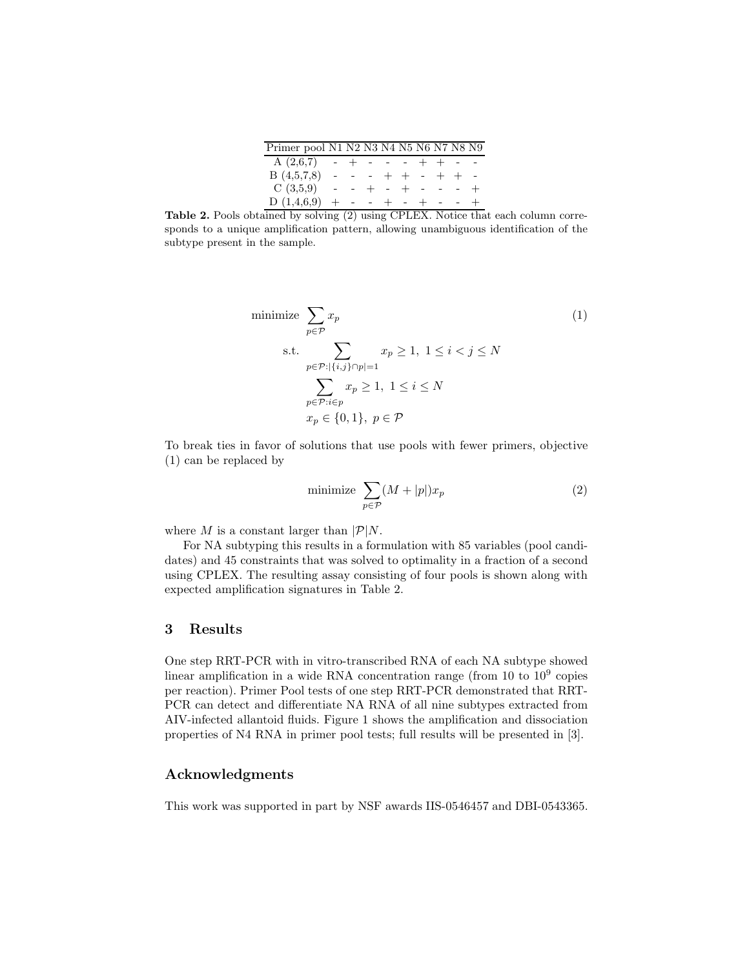| Primer pool N1 N2 N3 N4 N5 N6 N7 N8 N9 |                         |  |  |  |  |
|----------------------------------------|-------------------------|--|--|--|--|
| $A(2,6,7)$ - + - - - + + - -           |                         |  |  |  |  |
| B(4,5,7,8)                             | - - - + + - + + -       |  |  |  |  |
| C(3,5,9)                               | $- - + + - + - - - + +$ |  |  |  |  |
| $D(1,4,6,9)$ + - - + - + - - +         |                         |  |  |  |  |

Table 2. Pools obtained by solving (2) using CPLEX. Notice that each column corresponds to a unique amplification pattern, allowing unambiguous identification of the subtype present in the sample.

minimize 
$$
\sum_{p \in \mathcal{P}} x_p
$$
  
s.t. 
$$
\sum_{p \in \mathcal{P}: |\{i,j\} \cap p| = 1} x_p \ge 1, \ 1 \le i < j \le N
$$

$$
\sum_{p \in \mathcal{P}: i \in p} x_p \ge 1, \ 1 \le i \le N
$$

$$
x_p \in \{0, 1\}, \ p \in \mathcal{P}
$$

To break ties in favor of solutions that use pools with fewer primers, objective (1) can be replaced by

$$
\text{minimize } \sum_{p \in \mathcal{P}} (M + |p|) x_p \tag{2}
$$

where M is a constant larger than  $|\mathcal{P}|N$ .

For NA subtyping this results in a formulation with 85 variables (pool candidates) and 45 constraints that was solved to optimality in a fraction of a second using CPLEX. The resulting assay consisting of four pools is shown along with expected amplification signatures in Table 2.

#### 3 Results

One step RRT-PCR with in vitro-transcribed RNA of each NA subtype showed linear amplification in a wide RNA concentration range (from 10 to  $10^9$  copies per reaction). Primer Pool tests of one step RRT-PCR demonstrated that RRT-PCR can detect and differentiate NA RNA of all nine subtypes extracted from AIV-infected allantoid fluids. Figure 1 shows the amplification and dissociation properties of N4 RNA in primer pool tests; full results will be presented in [3].

### Acknowledgments

This work was supported in part by NSF awards IIS-0546457 and DBI-0543365.